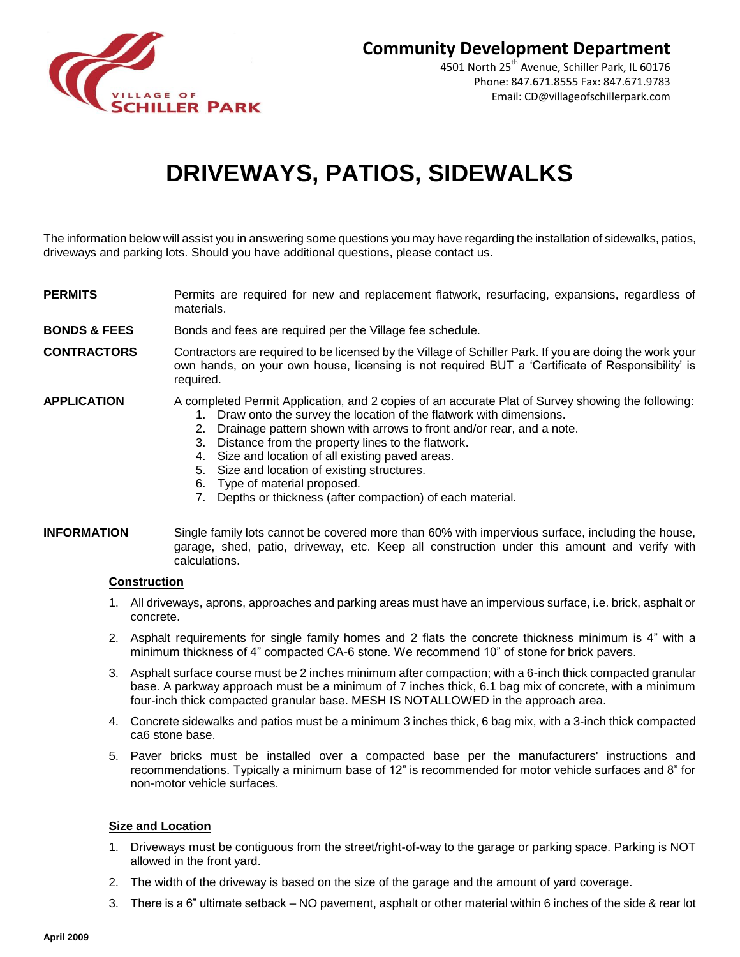

4501 North 25<sup>th</sup> Avenue, Schiller Park, IL 60176 Phone: 847.671.8555 Fax: 847.671.9783 Email: CD@villageofschillerpark.com

# **DRIVEWAYS, PATIOS, SIDEWALKS**

The information below will assist you in answering some questions you may have regarding the installation of sidewalks, patios, driveways and parking lots. Should you have additional questions, please contact us.

- **PERMITS** Permits are required for new and replacement flatwork, resurfacing, expansions, regardless of materials.
- **BONDS & FEES** Bonds and fees are required per the Village fee schedule.
- **CONTRACTORS** Contractors are required to be licensed by the Village of Schiller Park. If you are doing the work your own hands, on your own house, licensing is not required BUT a 'Certificate of Responsibility' is required.

## **APPLICATION** A completed Permit Application, and 2 copies of an accurate Plat of Survey showing the following:

- 1. Draw onto the survey the location of the flatwork with dimensions.
- 2. Drainage pattern shown with arrows to front and/or rear, and a note.
- 3. Distance from the property lines to the flatwork.
- 4. Size and location of all existing paved areas.
- 5. Size and location of existing structures.
- 6. Type of material proposed.
- 7. Depths or thickness (after compaction) of each material.

#### **INFORMATION** Single family lots cannot be covered more than 60% with impervious surface, including the house, garage, shed, patio, driveway, etc. Keep all construction under this amount and verify with calculations.

### **Construction**

- 1. All driveways, aprons, approaches and parking areas must have an impervious surface, i.e. brick, asphalt or concrete.
- 2. Asphalt requirements for single family homes and 2 flats the concrete thickness minimum is 4" with a minimum thickness of 4" compacted CA-6 stone. We recommend 10" of stone for brick pavers.
- 3. Asphalt surface course must be 2 inches minimum after compaction; with a 6-inch thick compacted granular base. A parkway approach must be a minimum of 7 inches thick, 6.1 bag mix of concrete, with a minimum four-inch thick compacted granular base. MESH IS NOTALLOWED in the approach area.
- 4. Concrete sidewalks and patios must be a minimum 3 inches thick, 6 bag mix, with a 3-inch thick compacted ca6 stone base.
- 5. Paver bricks must be installed over a compacted base per the manufacturers' instructions and recommendations. Typically a minimum base of 12" is recommended for motor vehicle surfaces and 8" for non-motor vehicle surfaces.

### **Size and Location**

- 1. Driveways must be contiguous from the street/right-of-way to the garage or parking space. Parking is NOT allowed in the front yard.
- 2. The width of the driveway is based on the size of the garage and the amount of yard coverage.
- 3. There is a 6" ultimate setback NO pavement, asphalt or other material within 6 inches of the side & rear lot